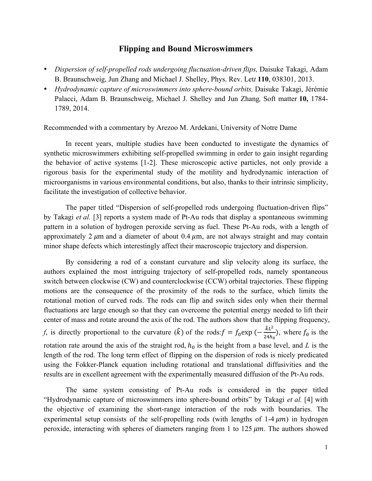## **Flipping and Bound Microswimmers**

- *Dispersion of self-propelled rods undergoing fluctuation-driven flips*, Daisuke Takagi, Adam B. Braunschweig, Jun Zhang and Michael J. Shelley, Phys. Rev. Let*t* **110**, 038301, 2013.
- *Hydrodynamic capture of microswimmers into sphere-bound orbits,* Daisuke Takagi, Jérémie Palacci, Adam B. Braunschweig, Michael J. Shelley and Jun Zhang*,* Soft matter **10,** 1784- 1789, 2014.

Recommended with a commentary by Arezoo M. Ardekani, University of Notre Dame

In recent years, multiple studies have been conducted to investigate the dynamics of synthetic microswimmers exhibiting self-propelled swimming in order to gain insight regarding the behavior of active systems [1-2]. These microscopic active particles, not only provide a rigorous basis for the experimental study of the motility and hydrodynamic interaction of microorganisms in various environmental conditions, but also, thanks to their intrinsic simplicity, facilitate the investigation of collective behavior.

The paper titled "Dispersion of self-propelled rods undergoing fluctuation-driven flips" by Takagi *et al.* [3] reports a system made of Pt-Au rods that display a spontaneous swimming pattern in a solution of hydrogen peroxide serving as fuel. These Pt-Au rods, with a length of approximately 2  $\mu$ m and a diameter of about 0.4  $\mu$ m, are not always straight and may contain minor shape defects which interestingly affect their macroscopic trajectory and dispersion.

By considering a rod of a constant curvature and slip velocity along its surface, the authors explained the most intriguing trajectory of self-propelled rods, namely spontaneous switch between clockwise (CW) and counterclockwise (CCW) orbital trajectories. These flipping motions are the consequence of the proximity of the rods to the surface, which limits the rotational motion of curved rods. The rods can flip and switch sides only when their thermal fluctuations are large enough so that they can overcome the potential energy needed to lift their center of mass and rotate around the axis of the rod. The authors show that the flipping frequency, *f*, is directly proportional to the curvature  $(\hat{k})$  of the rods:  $f = f_0 \exp(-\frac{\hat{k}L^2}{24h_0})$ , where  $f_0$  is the rotation rate around the axis of the straight rod,  $h_0$  is the height from a base level, and *L* is the length of the rod. The long term effect of flipping on the dispersion of rods is nicely predicated using the Fokker-Planck equation including rotational and translational diffusivities and the results are in excellent agreement with the experimentally measured diffusion of the Pt-Au rods.

The same system consisting of Pt-Au rods is considered in the paper titled "Hydrodynamic capture of microswimmers into sphere-bound orbits" by Takagi *et al.* [4] with the objective of examining the short-range interaction of the rods with boundaries. The experimental setup consists of the self-propelling rods (with lengths of  $1-4 \mu m$ ) in hydrogen peroxide, interacting with spheres of diameters ranging from 1 to  $125 \mu m$ . The authors showed